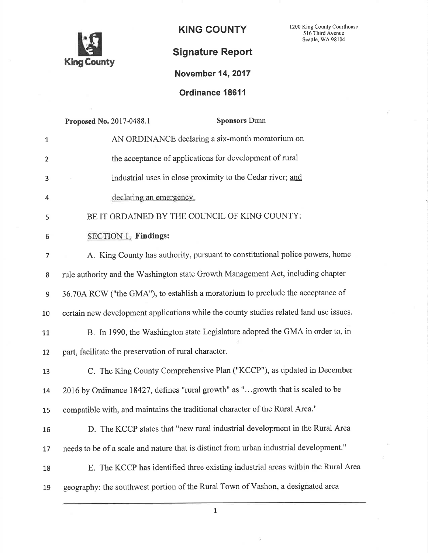

KING COUNTY 1200 King County Courthouse Seattle, WA 98104

## Signature Report

## Novembet 14,2017

Ordinance 18611

|              | <b>Sponsors Dunn</b><br>Proposed No. 2017-0488.1                                       |
|--------------|----------------------------------------------------------------------------------------|
| $\mathbf{1}$ | AN ORDINANCE declaring a six-month moratorium on                                       |
| 2            | the acceptance of applications for development of rural                                |
| 3            | industrial uses in close proximity to the Cedar river; and                             |
| 4            | declaring an emergency.                                                                |
| 5            | BE IT ORDAINED BY THE COUNCIL OF KING COUNTY:                                          |
| 6            | SECTION 1. Findings:                                                                   |
| 7            | A. King County has authority, pursuant to constitutional police powers, home           |
| 8            | rule authority and the Washington state Growth Management Act, including chapter       |
| 9            | 36.70A RCW ("the GMA"), to establish a moratorium to preclude the acceptance of        |
| 10           | certain new development applications while the county studies related land use issues. |
| 11           | B. In 1990, the Washington state Legislature adopted the GMA in order to, in           |
| 12           | part, facilitate the preservation of rural character.                                  |
| 13           | C. The King County Comprehensive Plan ("KCCP"), as updated in December                 |
| 14           | 2016 by Ordinance 18427, defines "rural growth" as "growth that is scaled to be        |
| 15           | compatible with, and maintains the traditional character of the Rural Area."           |
| 16           | D. The KCCP states that "new rural industrial development in the Rural Area            |
| 17           | needs to be of a scale and nature that is distinct from urban industrial development." |
| 18           | E. The KCCP has identified three existing industrial areas within the Rural Area       |
| 19           | geography: the southwest portion of the Rural Town of Vashon, a designated area        |
|              |                                                                                        |

1

÷,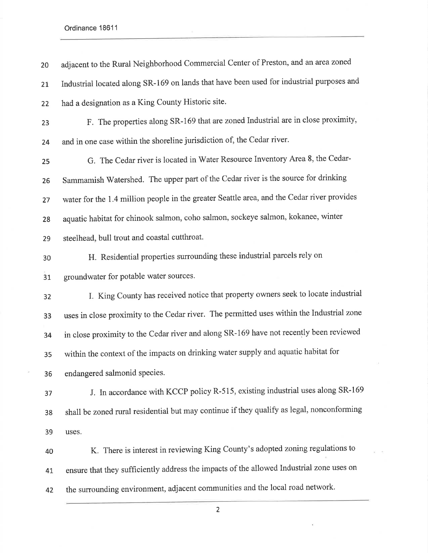Ordinance 18611

adjacent to the Rural Neighborhood Commercial Center of Preston, and an areazoned 21 Industrial located along SR-169 on lands that have been used for industrial purposes and 22 had a designation as a King County Historic site. 2g F. The properties along SR-169 thalare zoned Industrial are in close proximity, and in one case within the shoreline jurisdiction of, the Cedar river. 25 G. The Cedar river is located in Water Resource Inventory Area 8, the Cedar-Sammamish Watershed. The upper part of the Cedar river is the source for drinking water for the 1.4 million people in the greater Seattle area, and the Cedar river provides 2g aquatic habitat for chinook salmon, coho salmon, sockeye salmon, kokanee, winter steelhead, bull trout and coastal cutthroat. H. Residential properties surrounding these industrial parcels rely on groundwater for potable water sources. I. King County has received notice that property owners seek to locate industrial uses in close proximity to the Cedar river. The permitted uses within the Industrial zone in close proximity to the Cedar river and along SR-169 have not recently been reviewed within the context of the impacts on drinking water supply and aquatic habitat for 36 endangered salmonid species. J. In accordance with KCCP policy R-515, existing industrial uses along SR-169 shall be zoned rural residential but may continue if they qualify as legal, nonconforming uses. K. There is interest in reviewing King County's adopted zoningregulations to 4r ensure that they sufficiently address the impacts of the allowed Industrial zone uses on the surrounding environment, adjacent communities and the local road network'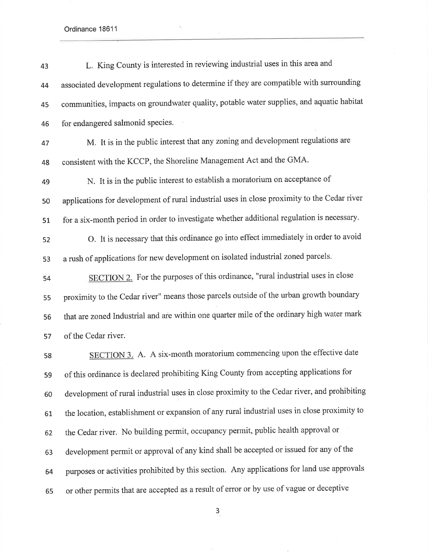Ordinance 18611

| 43 | L. King County is interested in reviewing industrial uses in this area and                  |
|----|---------------------------------------------------------------------------------------------|
| 44 | associated development regulations to determine if they are compatible with surrounding     |
| 45 | communities, impacts on groundwater quality, potable water supplies, and aquatic habitat    |
| 46 | for endangered salmonid species.                                                            |
| 47 | M. It is in the public interest that any zoning and development regulations are             |
| 48 | consistent with the KCCP, the Shoreline Management Act and the GMA.                         |
| 49 | N. It is in the public interest to establish a moratorium on acceptance of                  |
| 50 | applications for development of rural industrial uses in close proximity to the Cedar river |
| 51 | for a six-month period in order to investigate whether additional regulation is necessary.  |
| 52 | O. It is necessary that this ordinance go into effect immediately in order to avoid         |
| 53 | a rush of applications for new development on isolated industrial zoned parcels.            |
| 54 | SECTION 2. For the purposes of this ordinance, "rural industrial uses in close              |
| 55 | proximity to the Cedar river" means those parcels outside of the urban growth boundary      |
| 56 | that are zoned Industrial and are within one quarter mile of the ordinary high water mark   |
| 57 | of the Cedar river.                                                                         |
| 58 | SECTION 3. A. A six-month moratorium commencing upon the effective date                     |
| 59 | of this ordinance is declared prohibiting King County from accepting applications for       |
| 60 | development of rural industrial uses in close proximity to the Cedar river, and prohibiting |
| 61 | the location, establishment or expansion of any rural industrial uses in close proximity to |
| 62 | the Cedar river. No building permit, occupancy permit, public health approval or            |
| 63 | development permit or approval of any kind shall be accepted or issued for any of the       |
| 64 | purposes or activities prohibited by this section. Any applications for land use approvals  |

٩,

or other permits that are accepted as a result of error or by use of vague or deceptive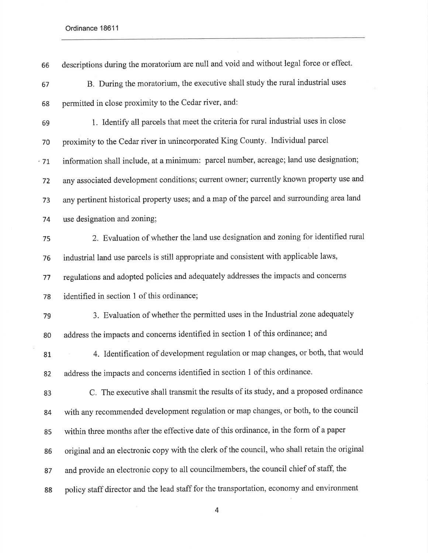$\frac{1}{2}$ 

| B. During the moratorium, the executive shall study the rural industrial uses                |
|----------------------------------------------------------------------------------------------|
|                                                                                              |
| permitted in close proximity to the Cedar river, and:                                        |
| 1. Identify all parcels that meet the criteria for rural industrial uses in close            |
| proximity to the Cedar river in unincorporated King County. Individual parcel                |
| information shall include, at a minimum: parcel number, acreage; land use designation;       |
| any associated development conditions; current owner; currently known property use and       |
| any pertinent historical property uses; and a map of the parcel and surrounding area land    |
| use designation and zoning;                                                                  |
| 2. Evaluation of whether the land use designation and zoning for identified rural            |
| industrial land use parcels is still appropriate and consistent with applicable laws,        |
| regulations and adopted policies and adequately addresses the impacts and concerns           |
| identified in section 1 of this ordinance;                                                   |
| 3. Evaluation of whether the permitted uses in the Industrial zone adequately                |
| address the impacts and concerns identified in section 1 of this ordinance; and              |
| 4. Identification of development regulation or map changes, or both, that would              |
| address the impacts and concerns identified in section 1 of this ordinance.                  |
| C. The executive shall transmit the results of its study, and a proposed ordinance           |
| with any recommended development regulation or map changes, or both, to the council          |
| within three months after the effective date of this ordinance, in the form of a paper       |
| original and an electronic copy with the clerk of the council, who shall retain the original |
| and provide an electronic copy to all councilmembers, the council chief of staff, the        |
| policy staff director and the lead staff for the transportation, economy and environment     |
|                                                                                              |